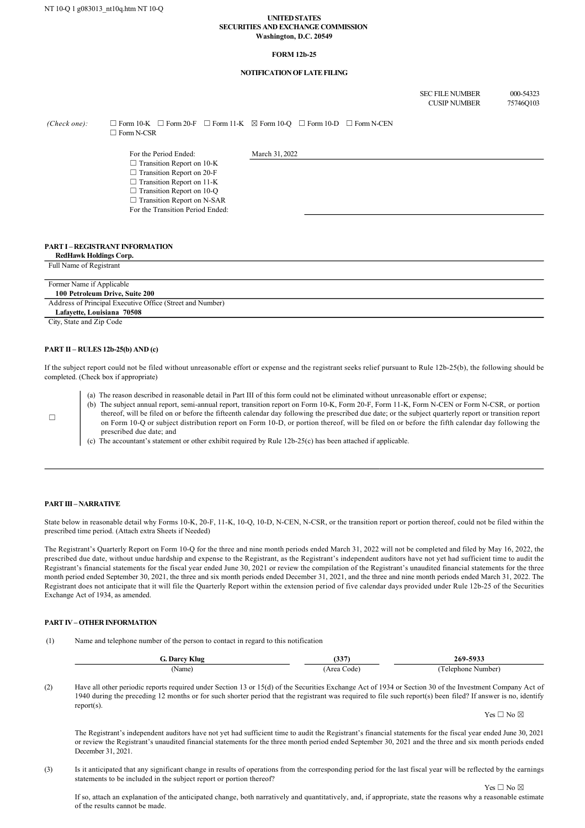#### **UNITED STATES SECURITIES AND EXCHANGE COMMISSION Washington, D.C. 20549**

#### **FORM 12b-25**

## **NOTIFICATION OF LATE FILING**

SEC FILE NUMBER 000-54323<br>CUSIP NUMBER 75746Q103 CUSIP NUMBER

 $(Check one): \Box$  Form 10-K  $\Box$  Form 20-F  $\Box$  Form 11-K  $\Box$  Form 10-Q  $\Box$  Form 10-D  $\Box$  Form N-CEN  $\square$  Form N-CSR

For the Period Ended: March 31, 2022

 $\Box$  Transition Report on 10-K

- □ Transition Report on 20-F  $\Box$  Transition Report on 11-K
- □ Transition Report on 10-Q
- □ Transition Report on N-SAR
- For the Transition Period Ended:

## **PART I – REGISTRANT INFORMATION**

**RedHawk Holdings Corp.**

| Full Name of Registrant                                   |  |
|-----------------------------------------------------------|--|
|                                                           |  |
| Former Name if Applicable                                 |  |
| 100 Petroleum Drive, Suite 200                            |  |
| Address of Principal Executive Office (Street and Number) |  |
| Lafavette, Louisiana 70508                                |  |
|                                                           |  |

City, State and Zip Code

### **PART II – RULES 12b-25(b) AND (c)**

If the subject report could not be filed without unreasonable effort or expense and the registrant seeks relief pursuant to Rule  $12b-25(b)$ , the following should be completed. (Check box if appropriate)

- (a) The reason described in reasonable detail in Part III of this form could not be eliminated without unreasonable effort or expense;
- (b) The subject annual report, semi-annual report, transition report on Form 10-K, Form 20-F, Form 11-K, Form N-CEN or Form N-CSR, or portion thereof, will be filed on or before the fifteenth calendar day following the prescribed due date; or the subject quarterly report or transition report on Form 10-Q or subject distribution report on Form 10-D, or portion thereof, will be filed on or before the fifth calendar day following the prescribed due date; and
- (c) The accountant's statement or other exhibit required by Rule  $12b-25(c)$  has been attached if applicable.

# **PART III – NARRATIVE**

 $\Box$ 

State below in reasonable detail why Forms 10-K, 20-F, 11-K, 10-Q, 10-D, N-CEN, N-CSR, or the transition report or portion thereof, could not be filed within the prescribed time period. (Attach extra Sheets if Needed)

The Registrant's Quarterly Report on Form 10-Q for the three and nine month periods ended March 31, 2022 will not be completed and filed by May 16, 2022, the prescribed due date, without undue hardship and expense to the Registrant, as the Registrant's independent auditors have not yet had sufficient time to audit the Registrant's financial statements for the fiscal year ended June 30, 2021 or review the compilation of the Registrant's unaudited financial statements for the three month period ended September 30, 2021, the three and six month periods ended December 31, 2021, and the three and nine month periods ended March 31, 2022. The Registrant does not anticipate that it will file the Quarterly Report within the extension period of five calendar days provided under Rule 12b-25 of the Securities Exchange Act of 1934, as amended.

### **PART IV – OTHER INFORMATION**

(1) Name and telephone number of the person to contact in regard to this notification

| . Darcv<br>Klug | 227<br>ເບບ                  | -5933<br>269-<br>.<br>. . |
|-----------------|-----------------------------|---------------------------|
| 'Name)          | Code<br>A roc<br>1 C C<br>. | Number<br>Telephone<br>.  |

(2) Have all other periodic reports required under Section 13 or 15(d) of the Securities Exchange Act of 1934 or Section 30 of the Investment Company Act of 1940 during the preceding 12 months or for such shorter period that the registrant was required to file such report(s) been filed? If answer is no, identify report(s).

Yes  $\Box$  No  $\boxtimes$ 

 $Yes \Box No \boxtimes$ 

The Registrant's independent auditors have not yet had sufficient time to audit the Registrant's financial statements for the fiscal year ended June 30, 2021 or review the Registrant's unaudited financial statements for the three month period ended September 30, 2021 and the three and six month periods ended December 31, 2021.

(3) Is it anticipated that any significant change in results of operations from the corresponding period for the last fiscal year will be reflected by the earnings statements to be included in the subject report or portion thereof?

If so, attach an explanation of the anticipated change, both narratively and quantitatively, and, if appropriate, state the reasons why a reasonable estimate of the results cannot be made.